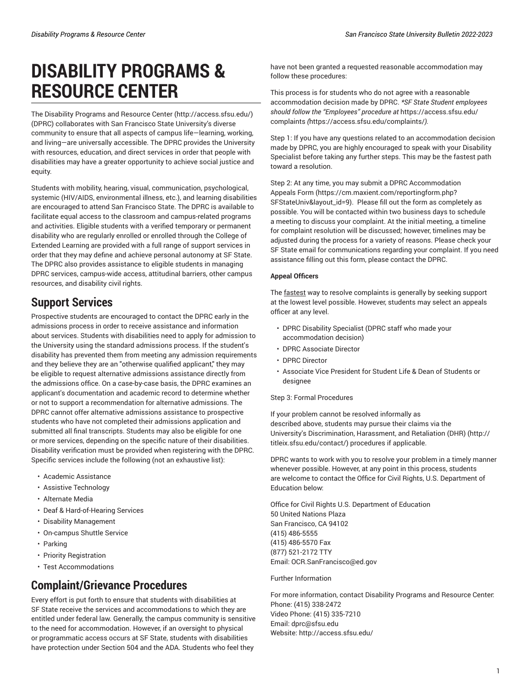# **DISABILITY PROGRAMS & RESOURCE CENTER**

The Disability [Programs](http://access.sfsu.edu/) and Resource Center [\(http://access.sfsu.edu/\)](http://access.sfsu.edu/) (DPRC) collaborates with San Francisco State University's diverse community to ensure that all aspects of campus life—learning, working, and living—are universally accessible. The DPRC provides the University with resources, education, and direct services in order that people with disabilities may have a greater opportunity to achieve social justice and equity.

Students with mobility, hearing, visual, communication, psychological, systemic (HIV/AIDS, environmental illness, etc.), and learning disabilities are encouraged to attend San Francisco State. The DPRC is available to facilitate equal access to the classroom and campus-related programs and activities. Eligible students with a verified temporary or permanent disability who are regularly enrolled or enrolled through the College of Extended Learning are provided with a full range of support services in order that they may define and achieve personal autonomy at SF State. The DPRC also provides assistance to eligible students in managing DPRC services, campus-wide access, attitudinal barriers, other campus resources, and disability civil rights.

## **Support Services**

Prospective students are encouraged to contact the DPRC early in the admissions process in order to receive assistance and information about services. Students with disabilities need to apply for admission to the University using the standard admissions process. If the student's disability has prevented them from meeting any admission requirements and they believe they are an "otherwise qualified applicant," they may be eligible to request alternative admissions assistance directly from the admissions office. On a case-by-case basis, the DPRC examines an applicant's documentation and academic record to determine whether or not to support a recommendation for alternative admissions. The DPRC cannot offer alternative admissions assistance to prospective students who have not completed their admissions application and submitted all final transcripts. Students may also be eligible for one or more services, depending on the specific nature of their disabilities. Disability verification must be provided when registering with the DPRC. Specific services include the following (not an exhaustive list):

- Academic Assistance
- Assistive Technology
- Alternate Media
- Deaf & Hard-of-Hearing Services
- Disability Management
- On-campus Shuttle Service
- Parking
- Priority Registration
- Test Accommodations

## **Complaint/Grievance Procedures**

Every effort is put forth to ensure that students with disabilities at SF State receive the services and accommodations to which they are entitled under federal law. Generally, the campus community is sensitive to the need for accommodation. However, if an oversight to physical or programmatic access occurs at SF State, students with disabilities have protection under Section 504 and the ADA. Students who feel they

have not been granted a requested reasonable accommodation may follow these procedures:

This process is for students who do not agree with a reasonable accommodation decision made by DPRC. *\*SF State Student employees should follow the "Employees" procedure at* [https://access.sfsu.edu/](https://access.sfsu.edu/complaints/) [complaints](https://access.sfsu.edu/complaints/) *(*<https://access.sfsu.edu/complaints/>*).* 

Step 1: If you have any questions related to an accommodation decision made by DPRC, you are highly encouraged to speak with your Disability Specialist before taking any further steps. This may be the fastest path toward a resolution.

Step 2: At any time, you may submit a [DPRC Accommodation](https://cm.maxient.com/reportingform.php?SFStateUniv&layout_id=9) [Appeals](https://cm.maxient.com/reportingform.php?SFStateUniv&layout_id=9) Form ([https://cm.maxient.com/reportingform.php?](https://cm.maxient.com/reportingform.php?SFStateUniv&layout_id=9) [SFStateUniv&layout\\_id=9](https://cm.maxient.com/reportingform.php?SFStateUniv&layout_id=9)). Please fill out the form as completely as possible. You will be contacted within two business days to schedule a meeting to discuss your complaint. At the initial meeting, a timeline for complaint resolution will be discussed; however, timelines may be adjusted during the process for a variety of reasons. Please check your SF State email for communications regarding your complaint. If you need assistance filling out this form, please contact the DPRC.

### **Appeal Officers**

The fastest way to resolve complaints is generally by seeking support at the lowest level possible. However, students may select an appeals officer at any level.

- DPRC Disability Specialist (DPRC staff who made your accommodation decision)
- DPRC Associate Director
- DPRC Director
- Associate Vice President for Student Life & Dean of Students or designee

#### Step 3: Formal Procedures

If your problem cannot be resolved informally as described above, students may pursue their claims via the University's [Discrimination, Harassment, and Retaliation \(DHR\)](http://titleix.sfsu.edu/contact/) ([http://](http://titleix.sfsu.edu/contact/) [titleix.sfsu.edu/contact/\)](http://titleix.sfsu.edu/contact/) procedures if applicable.

DPRC wants to work with you to resolve your problem in a timely manner whenever possible. However, at any point in this process, students are welcome to contact the Office for Civil Rights, U.S. Department of Education below:

Office for Civil Rights U.S. Department of Education 50 United Nations Plaza San Francisco, CA 94102 (415) 486-5555 (415) 486-5570 Fax (877) 521-2172 TTY Email: [OCR.SanFrancisco@ed.gov](mailto:OCR.SanFrancisco@ed.gov)

Further Information

For more information, contact Disability Programs and Resource Center: Phone: (415) 338-2472 Video Phone: (415) 335-7210 Email: [dprc@sfsu.edu](mailto:dprc@sfsu.edu) Website: <http://access.sfsu.edu/>